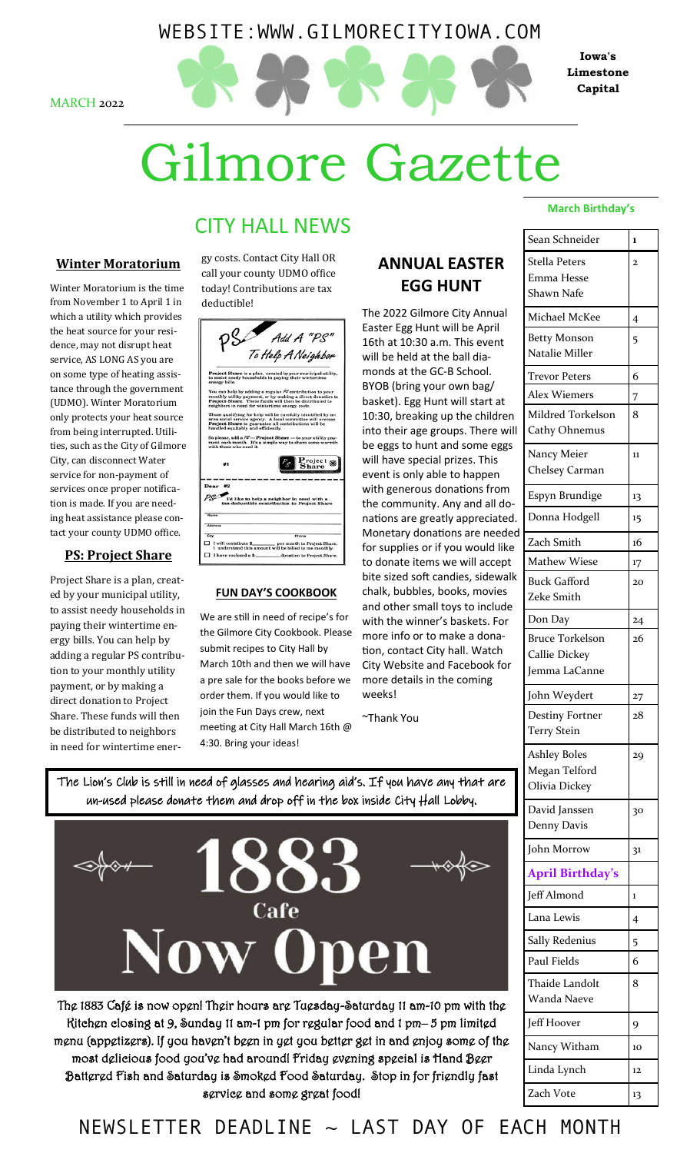## WEBSITE:WWW.GILMORECITYIOWA.COM

MARCH 2022

# Gilmore Gazette

## CITY HALL NEWS

#### **Winter Moratorium**

Winter Moratorium is the time from November 1 to April 1 in which a utility which provides the heat source for your residence, may not disrupt heat service, AS LONG AS you are on some type of heating assistance through the government (UDMO). Winter Moratorium only protects your heat source from being interrupted. Utilities, such as the City of Gilmore City, can disconnect Water service for non-payment of services once proper notification is made. If you are needing heat assistance please contact your county UDMO office.

#### **PS: Project Share**

Project Share is a plan, created by your municipal utility, to assist needy households in paying their wintertime energy bills. You can help by adding a regular PS contribution to your monthly utility payment, or by making a direct donation to Project Share. These funds will then be distributed to neighbors in need for wintertime energy costs. Contact City Hall OR call your county UDMO office today! Contributions are tax deductible!



#### **FUN DAY'S COOKBOOK**

We are still in need of recipe's for the Gilmore City Cookbook. Please submit recipes to City Hall by March 10th and then we will have a pre sale for the books before we order them. If you would like to join the Fun Days crew, next meeting at City Hall March 16th @ 4:30. Bring your ideas!

## **ANNUAL EASTER EGG HUNT**

The 2022 Gilmore City Annual Easter Egg Hunt will be April 16th at 10:30 a.m. This event will be held at the ball diamonds at the GC-B School. BYOB (bring your own bag/ basket). Egg Hunt will start at 10:30, breaking up the children into their age groups. There will be eggs to hunt and some eggs will have special prizes. This event is only able to happen with generous donations from the community. Any and all donations are greatly appreciated. Monetary donations are needed for supplies or if you would like to donate items we will accept bite sized soft candies, sidewalk chalk, bubbles, books, movies and other small toys to include with the winner's baskets. For more info or to make a donation, contact City hall. Watch City Website and Facebook for more details in the coming weeks!

~Thank You

The Lion's Club is still in need of glasses and hearing aid's. If you have any that are un-used please donate them and drop off in the box inside City Hall Lobby.



The 1883 Café is now open! Their hours are Tuesday-Saturday 11 am-10 pm with the Kitchen closing at 9, Sunday 11 am-1 pm for regular food and 1 pm– 5 pm limited menu (appetizers). If you haven't been in yet you better get in and enjoy some of the most delicious food you've had around! Friday evening special is Hand Beer Battered Fish and Saturday is Smoked Food Saturday. Stop in for friendly fast service and some great food!

#### **March Birthday's**

**Iowa's Limestone Capital**

| Sean Schneider                                           | ı                        |
|----------------------------------------------------------|--------------------------|
| <b>Stella Peters</b><br>Emma Hesse                       | $\overline{\mathcal{L}}$ |
| <b>Shawn Nafe</b>                                        |                          |
| Michael McKee                                            | 4                        |
| <b>Betty Monson</b><br>Natalie Miller                    | 5                        |
| <b>Trevor Peters</b>                                     | 6                        |
| <b>Alex Wiemers</b>                                      | 7                        |
| Mildred Torkelson<br>Cathy Ohnemus                       | 8                        |
| Nancy Meier<br>Chelsey Carman                            | $\mathbf{11}$            |
| Espyn Brundige                                           | 13                       |
| Donna Hodgell                                            | 15                       |
| Zach Smith                                               | 16                       |
| <b>Mathew Wiese</b>                                      | 17                       |
| <b>Buck Gafford</b><br>Zeke Smith                        | 20                       |
| Don Day                                                  | 24                       |
| <b>Bruce Torkelson</b><br>Callie Dickey<br>Jemma LaCanne | 26                       |
| John Weydert                                             | 27                       |
| <b>Destiny Fortner</b><br><b>Terry Stein</b>             | 28                       |
| <b>Ashley Boles</b><br>Megan Telford<br>Olivia Dickey    | 29                       |
| David Janssen<br>Denny Davis                             | 30                       |
| John Morrow                                              | 31                       |
| <b>April Birthday's</b>                                  |                          |
| Jeff Almond                                              | ı                        |
| Lana Lewis                                               | 4                        |
| <b>Sally Redenius</b>                                    | 5                        |
| Paul Fields                                              | 6                        |
| Thaide Landolt<br><b>Wanda Naeve</b>                     | 8                        |
| Jeff Hoover                                              | 9                        |
| Nancy Witham                                             | 10                       |
| Linda Lynch                                              | 12                       |
| Zach Vote                                                | 13                       |

NEWSLETTER DEADLINE ~ LAST DAY OF EACH MONTH